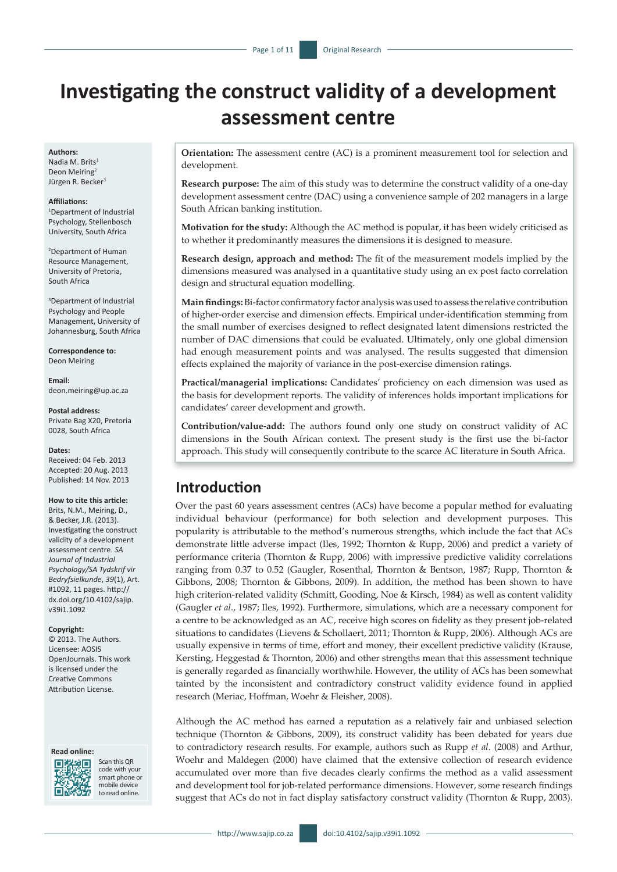# **Investigating the construct validity of a development assessment centre**

#### **Authors:**

Nadia M. Brits<sup>1</sup> Deon Meiring2 Jürgen R. Becker<sup>3</sup>

#### **Affiliations:**

1 Department of Industrial Psychology, Stellenbosch University, South Africa

2 Department of Human Resource Management, University of Pretoria, South Africa

3 Department of Industrial Psychology and People Management, University of Johannesburg, South Africa

**Correspondence to:** Deon Meiring

**Email:** [deon.meiring@up.ac.za](mailto:deon.meiring@up.ac.za)

#### **Postal address:** Private Bag X20, Pretoria

0028, South Africa

#### **Dates:**

Received: 04 Feb. 2013 Accepted: 20 Aug. 2013 Published: 14 Nov. 2013

#### **How to cite this article:**

Brits, N.M., Meiring, D., & Becker, J.R. (2013). Investigating the construct validity of a development assessment centre. *SA Journal of Industrial Psychology/SA Tydskrif vir Bedryfsielkunde*, *39*(1), Art. #1092, 11 pages. [http://](http://dx.doi.org/10.4102/sajip.v39i1.1092) [dx.doi.org/10.4102/sajip.](http://dx.doi.org/10.4102/sajip.v39i1.1092) [v39i1.1092](http://dx.doi.org/10.4102/sajip.v39i1.1092)

#### **Copyright:**

© 2013. The Authors. Licensee: AOSIS OpenJournals. This work is licensed under the Creative Commons Attribution License.





Scan this QR code with your smart phone or mobile device to read online.

**Orientation:** The assessment centre (AC) is a prominent measurement tool for selection and development.

**Research purpose:** The aim of this study was to determine the construct validity of a one-day development assessment centre (DAC) using a convenience sample of 202 managers in a large South African banking institution.

**Motivation for the study:** Although the AC method is popular, it has been widely criticised as to whether it predominantly measures the dimensions it is designed to measure.

**Research design, approach and method:** The fit of the measurement models implied by the dimensions measured was analysed in a quantitative study using an ex post facto correlation design and structural equation modelling.

**Main findings:** Bi-factor confirmatory factor analysis was used to assess the relative contribution of higher-order exercise and dimension effects. Empirical under-identification stemming from the small number of exercises designed to reflect designated latent dimensions restricted the number of DAC dimensions that could be evaluated. Ultimately, only one global dimension had enough measurement points and was analysed. The results suggested that dimension effects explained the majority of variance in the post-exercise dimension ratings.

**Practical/managerial implications:** Candidates' proficiency on each dimension was used as the basis for development reports. The validity of inferences holds important implications for candidates' career development and growth.

**Contribution/value-add:** The authors found only one study on construct validity of AC dimensions in the South African context. The present study is the first use the bi-factor approach. This study will consequently contribute to the scarce AC literature in South Africa.

# **Introduction**

Over the past 60 years assessment centres (ACs) have become a popular method for evaluating individual behaviour (performance) for both selection and development purposes. This popularity is attributable to the method's numerous strengths, which include the fact that ACs demonstrate little adverse impact (Iles, 1992; Thornton & Rupp, 2006) and predict a variety of performance criteria (Thornton & Rupp, 2006) with impressive predictive validity correlations ranging from 0.37 to 0.52 (Gaugler, Rosenthal, Thornton & Bentson, 1987; Rupp, Thornton & Gibbons, 2008; Thornton & Gibbons, 2009). In addition, the method has been shown to have high criterion-related validity (Schmitt, Gooding, Noe & Kirsch, 1984) as well as content validity (Gaugler *et al*., 1987; Iles, 1992). Furthermore, simulations, which are a necessary component for a centre to be acknowledged as an AC, receive high scores on fidelity as they present job-related situations to candidates (Lievens & Schollaert, 2011; Thornton & Rupp, 2006). Although ACs are usually expensive in terms of time, effort and money, their excellent predictive validity (Krause, Kersting, Heggestad & Thornton, 2006) and other strengths mean that this assessment technique is generally regarded as financially worthwhile. However, the utility of ACs has been somewhat tainted by the inconsistent and contradictory construct validity evidence found in applied research (Meriac, Hoffman, Woehr & Fleisher, 2008).

Although the AC method has earned a reputation as a relatively fair and unbiased selection technique (Thornton & Gibbons, 2009), its construct validity has been debated for years due to contradictory research results. For example, authors such as Rupp *et al*. (2008) and Arthur, Woehr and Maldegen (2000) have claimed that the extensive collection of research evidence accumulated over more than five decades clearly confirms the method as a valid assessment and development tool for job-related performance dimensions. However, some research findings suggest that ACs do not in fact display satisfactory construct validity (Thornton & Rupp, 2003).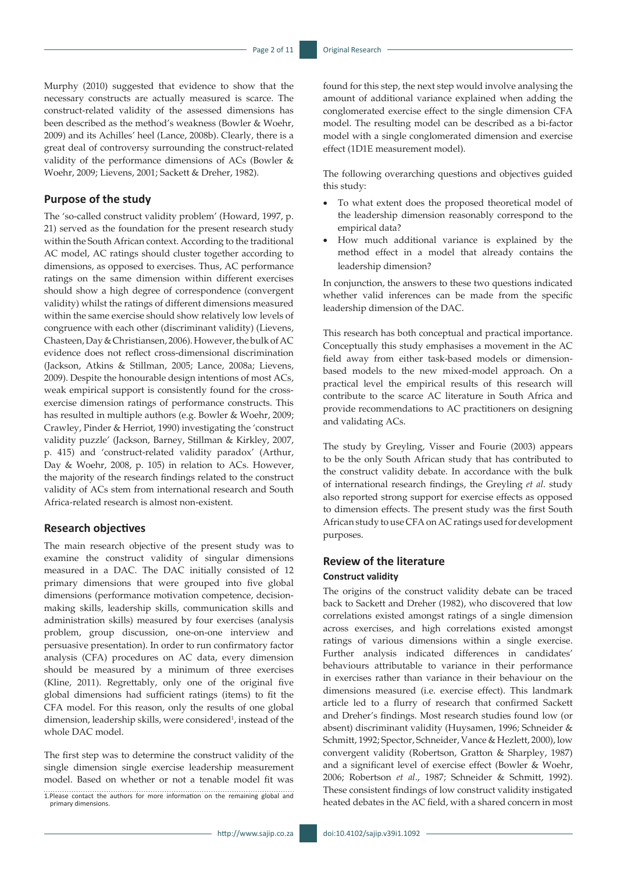Murphy (2010) suggested that evidence to show that the necessary constructs are actually measured is scarce. The construct-related validity of the assessed dimensions has been described as the method's weakness (Bowler & Woehr, 2009) and its Achilles' heel (Lance, 2008b). Clearly, there is a great deal of controversy surrounding the construct-related validity of the performance dimensions of ACs (Bowler & Woehr, 2009; Lievens, 2001; Sackett & Dreher, 1982).

### **Purpose of the study**

The 'so-called construct validity problem' (Howard, 1997, p. 21) served as the foundation for the present research study within the South African context. According to the traditional AC model, AC ratings should cluster together according to dimensions, as opposed to exercises. Thus, AC performance ratings on the same dimension within different exercises should show a high degree of correspondence (convergent validity) whilst the ratings of different dimensions measured within the same exercise should show relatively low levels of congruence with each other (discriminant validity) (Lievens, Chasteen, Day & Christiansen, 2006). However, the bulk of AC evidence does not reflect cross-dimensional discrimination (Jackson, Atkins & Stillman, 2005; Lance, 2008a; Lievens, 2009). Despite the honourable design intentions of most ACs, weak empirical support is consistently found for the crossexercise dimension ratings of performance constructs. This has resulted in multiple authors (e.g. Bowler & Woehr, 2009; Crawley, Pinder & Herriot, 1990) investigating the 'construct validity puzzle' (Jackson, Barney, Stillman & Kirkley, 2007, p. 415) and 'construct-related validity paradox' (Arthur, Day & Woehr, 2008, p. 105) in relation to ACs. However, the majority of the research findings related to the construct validity of ACs stem from international research and South Africa-related research is almost non-existent.

#### **Research objectives**

The main research objective of the present study was to examine the construct validity of singular dimensions measured in a DAC. The DAC initially consisted of 12 primary dimensions that were grouped into five global dimensions (performance motivation competence, decisionmaking skills, leadership skills, communication skills and administration skills) measured by four exercises (analysis problem, group discussion, one-on-one interview and persuasive presentation). In order to run confirmatory factor analysis (CFA) procedures on AC data, every dimension should be measured by a minimum of three exercises (Kline, 2011). Regrettably, only one of the original five global dimensions had sufficient ratings (items) to fit the CFA model. For this reason, only the results of one global dimension, leadership skills, were considered<sup>1</sup>, instead of the whole DAC model.

The first step was to determine the construct validity of the single dimension single exercise leadership measurement model. Based on whether or not a tenable model fit was

1.Please contact the authors for more information on the remaining global and primary dimensions.

found for this step, the next step would involve analysing the amount of additional variance explained when adding the conglomerated exercise effect to the single dimension CFA model. The resulting model can be described as a bi-factor model with a single conglomerated dimension and exercise effect (1D1E measurement model).

The following overarching questions and objectives guided this study:

- • To what extent does the proposed theoretical model of the leadership dimension reasonably correspond to the empirical data?
- • How much additional variance is explained by the method effect in a model that already contains the leadership dimension?

In conjunction, the answers to these two questions indicated whether valid inferences can be made from the specific leadership dimension of the DAC.

This research has both conceptual and practical importance. Conceptually this study emphasises a movement in the AC field away from either task-based models or dimensionbased models to the new mixed-model approach. On a practical level the empirical results of this research will contribute to the scarce AC literature in South Africa and provide recommendations to AC practitioners on designing and validating ACs.

The study by Greyling, Visser and Fourie (2003) appears to be the only South African study that has contributed to the construct validity debate. In accordance with the bulk of international research findings, the Greyling *et al*. study also reported strong support for exercise effects as opposed to dimension effects. The present study was the first South African study to use CFA on AC ratings used for development purposes.

### **Review of the literature Construct validity**

The origins of the construct validity debate can be traced back to Sackett and Dreher (1982), who discovered that low correlations existed amongst ratings of a single dimension across exercises, and high correlations existed amongst ratings of various dimensions within a single exercise. Further analysis indicated differences in candidates' behaviours attributable to variance in their performance in exercises rather than variance in their behaviour on the dimensions measured (i.e. exercise effect). This landmark article led to a flurry of research that confirmed Sackett and Dreher's findings. Most research studies found low (or absent) discriminant validity (Huysamen, 1996; Schneider & Schmitt, 1992; Spector, Schneider, Vance & Hezlett, 2000), low convergent validity (Robertson, Gratton & Sharpley, 1987) and a significant level of exercise effect (Bowler & Woehr, 2006; Robertson *et al*., 1987; Schneider & Schmitt, 1992). These consistent findings of low construct validity instigated heated debates in the AC field, with a shared concern in most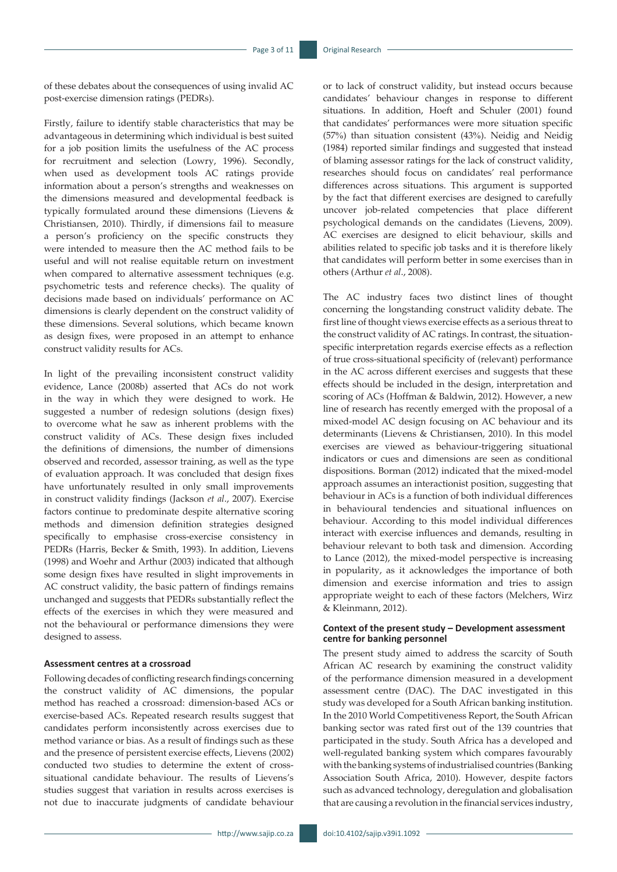of these debates about the consequences of using invalid AC post-exercise dimension ratings (PEDRs).

Firstly, failure to identify stable characteristics that may be advantageous in determining which individual is best suited for a job position limits the usefulness of the AC process for recruitment and selection (Lowry, 1996). Secondly, when used as development tools AC ratings provide information about a person's strengths and weaknesses on the dimensions measured and developmental feedback is typically formulated around these dimensions (Lievens & Christiansen, 2010). Thirdly, if dimensions fail to measure a person's proficiency on the specific constructs they were intended to measure then the AC method fails to be useful and will not realise equitable return on investment when compared to alternative assessment techniques (e.g. psychometric tests and reference checks). The quality of decisions made based on individuals' performance on AC dimensions is clearly dependent on the construct validity of these dimensions. Several solutions, which became known as design fixes, were proposed in an attempt to enhance construct validity results for ACs.

In light of the prevailing inconsistent construct validity evidence, Lance (2008b) asserted that ACs do not work in the way in which they were designed to work. He suggested a number of redesign solutions (design fixes) to overcome what he saw as inherent problems with the construct validity of ACs. These design fixes included the definitions of dimensions, the number of dimensions observed and recorded, assessor training, as well as the type of evaluation approach. It was concluded that design fixes have unfortunately resulted in only small improvements in construct validity findings (Jackson *et al*., 2007). Exercise factors continue to predominate despite alternative scoring methods and dimension definition strategies designed specifically to emphasise cross-exercise consistency in PEDRs (Harris, Becker & Smith, 1993). In addition, Lievens (1998) and Woehr and Arthur (2003) indicated that although some design fixes have resulted in slight improvements in AC construct validity, the basic pattern of findings remains unchanged and suggests that PEDRs substantially reflect the effects of the exercises in which they were measured and not the behavioural or performance dimensions they were designed to assess.

#### **Assessment centres at a crossroad**

Following decades of conflicting research findings concerning the construct validity of AC dimensions, the popular method has reached a crossroad: dimension-based ACs or exercise-based ACs. Repeated research results suggest that candidates perform inconsistently across exercises due to method variance or bias. As a result of findings such as these and the presence of persistent exercise effects, Lievens (2002) conducted two studies to determine the extent of crosssituational candidate behaviour. The results of Lievens's studies suggest that variation in results across exercises is not due to inaccurate judgments of candidate behaviour or to lack of construct validity, but instead occurs because candidates' behaviour changes in response to different situations. In addition, Hoeft and Schuler (2001) found that candidates' performances were more situation specific (57%) than situation consistent (43%). Neidig and Neidig (1984) reported similar findings and suggested that instead of blaming assessor ratings for the lack of construct validity, researches should focus on candidates' real performance differences across situations. This argument is supported by the fact that different exercises are designed to carefully uncover job-related competencies that place different psychological demands on the candidates (Lievens, 2009). AC exercises are designed to elicit behaviour, skills and abilities related to specific job tasks and it is therefore likely that candidates will perform better in some exercises than in others (Arthur *et al*., 2008).

The AC industry faces two distinct lines of thought concerning the longstanding construct validity debate. The first line of thought views exercise effects as a serious threat to the construct validity of AC ratings. In contrast, the situationspecific interpretation regards exercise effects as a reflection of true cross-situational specificity of (relevant) performance in the AC across different exercises and suggests that these effects should be included in the design, interpretation and scoring of ACs (Hoffman & Baldwin, 2012). However, a new line of research has recently emerged with the proposal of a mixed-model AC design focusing on AC behaviour and its determinants (Lievens & Christiansen, 2010). In this model exercises are viewed as behaviour-triggering situational indicators or cues and dimensions are seen as conditional dispositions. Borman (2012) indicated that the mixed-model approach assumes an interactionist position, suggesting that behaviour in ACs is a function of both individual differences in behavioural tendencies and situational influences on behaviour. According to this model individual differences interact with exercise influences and demands, resulting in behaviour relevant to both task and dimension. According to Lance (2012), the mixed-model perspective is increasing in popularity, as it acknowledges the importance of both dimension and exercise information and tries to assign appropriate weight to each of these factors (Melchers, Wirz & Kleinmann, 2012).

### **Context of the present study – Development assessment centre for banking personnel**

The present study aimed to address the scarcity of South African AC research by examining the construct validity of the performance dimension measured in a development assessment centre (DAC). The DAC investigated in this study was developed for a South African banking institution. In the 2010 World Competitiveness Report, the South African banking sector was rated first out of the 139 countries that participated in the study. South Africa has a developed and well-regulated banking system which compares favourably with the banking systems of industrialised countries (Banking Association South Africa, 2010). However, despite factors such as advanced technology, deregulation and globalisation that are causing a revolution in the financial services industry,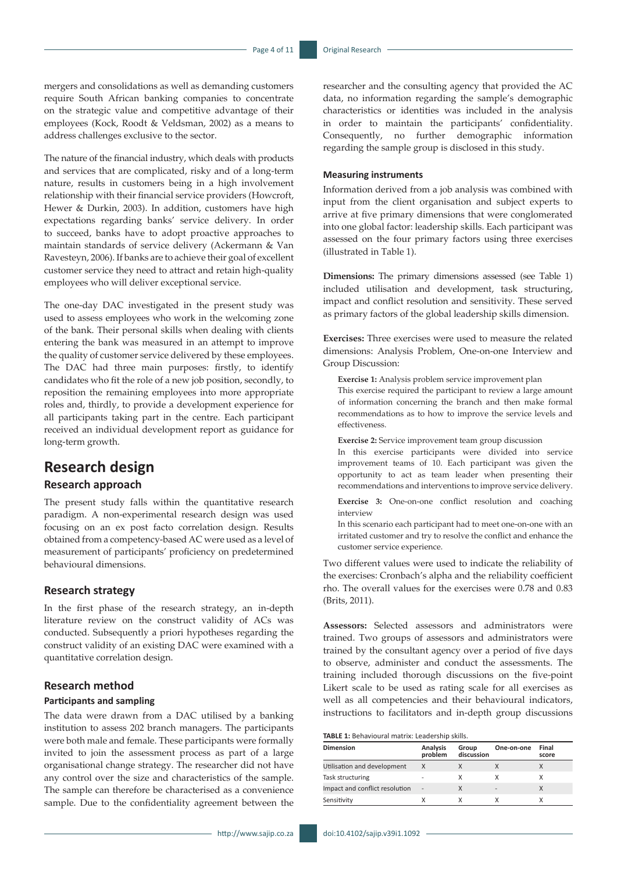mergers and consolidations as well as demanding customers require South African banking companies to concentrate on the strategic value and competitive advantage of their employees (Kock, Roodt & Veldsman, 2002) as a means to address challenges exclusive to the sector.

The nature of the financial industry, which deals with products and services that are complicated, risky and of a long-term nature, results in customers being in a high involvement relationship with their financial service providers (Howcroft, Hewer & Durkin, 2003). In addition, customers have high expectations regarding banks' service delivery. In order to succeed, banks have to adopt proactive approaches to maintain standards of service delivery (Ackermann & Van Ravesteyn, 2006). If banks are to achieve their goal of excellent customer service they need to attract and retain high-quality employees who will deliver exceptional service.

The one-day DAC investigated in the present study was used to assess employees who work in the welcoming zone of the bank. Their personal skills when dealing with clients entering the bank was measured in an attempt to improve the quality of customer service delivered by these employees. The DAC had three main purposes: firstly, to identify candidates who fit the role of a new job position, secondly, to reposition the remaining employees into more appropriate roles and, thirdly, to provide a development experience for all participants taking part in the centre. Each participant received an individual development report as guidance for long-term growth.

## **Research design**

### **Research approach**

The present study falls within the quantitative research paradigm. A non-experimental research design was used focusing on an ex post facto correlation design. Results obtained from a competency-based AC were used as a level of measurement of participants' proficiency on predetermined behavioural dimensions.

#### **Research strategy**

In the first phase of the research strategy, an in-depth literature review on the construct validity of ACs was conducted. Subsequently a priori hypotheses regarding the construct validity of an existing DAC were examined with a quantitative correlation design.

#### **Research method**

#### **Participants and sampling**

The data were drawn from a DAC utilised by a banking institution to assess 202 branch managers. The participants were both male and female. These participants were formally invited to join the assessment process as part of a large organisational change strategy. The researcher did not have any control over the size and characteristics of the sample. The sample can therefore be characterised as a convenience sample. Due to the confidentiality agreement between the

researcher and the consulting agency that provided the AC data, no information regarding the sample's demographic characteristics or identities was included in the analysis in order to maintain the participants' confidentiality. Consequently, no further demographic information regarding the sample group is disclosed in this study.

#### **Measuring instruments**

Information derived from a job analysis was combined with input from the client organisation and subject experts to arrive at five primary dimensions that were conglomerated into one global factor: leadership skills. Each participant was assessed on the four primary factors using three exercises (illustrated in Table 1).

**Dimensions:** The primary dimensions assessed (see Table 1) included utilisation and development, task structuring, impact and conflict resolution and sensitivity. These served as primary factors of the global leadership skills dimension.

**Exercises:** Three exercises were used to measure the related dimensions: Analysis Problem, One-on-one Interview and Group Discussion:

**Exercise 1:** Analysis problem service improvement plan

This exercise required the participant to review a large amount of information concerning the branch and then make formal recommendations as to how to improve the service levels and effectiveness.

**Exercise 2:** Service improvement team group discussion

In this exercise participants were divided into service improvement teams of 10. Each participant was given the opportunity to act as team leader when presenting their recommendations and interventions to improve service delivery.

**Exercise 3:** One-on-one conflict resolution and coaching interview

In this scenario each participant had to meet one-on-one with an irritated customer and try to resolve the conflict and enhance the customer service experience.

Two different values were used to indicate the reliability of the exercises: Cronbach's alpha and the reliability coefficient rho. The overall values for the exercises were 0.78 and 0.83 (Brits, 2011).

**Assessors:** Selected assessors and administrators were trained. Two groups of assessors and administrators were trained by the consultant agency over a period of five days to observe, administer and conduct the assessments. The training included thorough discussions on the five-point Likert scale to be used as rating scale for all exercises as well as all competencies and their behavioural indicators, instructions to facilitators and in-depth group discussions

**TABLE 1:** Behavioural matrix: Leadership skills.

| <b>Dimension</b>               | Analysis<br>problem | Group<br>discussion | One-on-one | Final<br>score |
|--------------------------------|---------------------|---------------------|------------|----------------|
| Utilisation and development    | X                   |                     |            |                |
| Task structuring               |                     |                     |            |                |
| Impact and conflict resolution | -                   |                     |            |                |
| Sensitivity                    |                     |                     |            |                |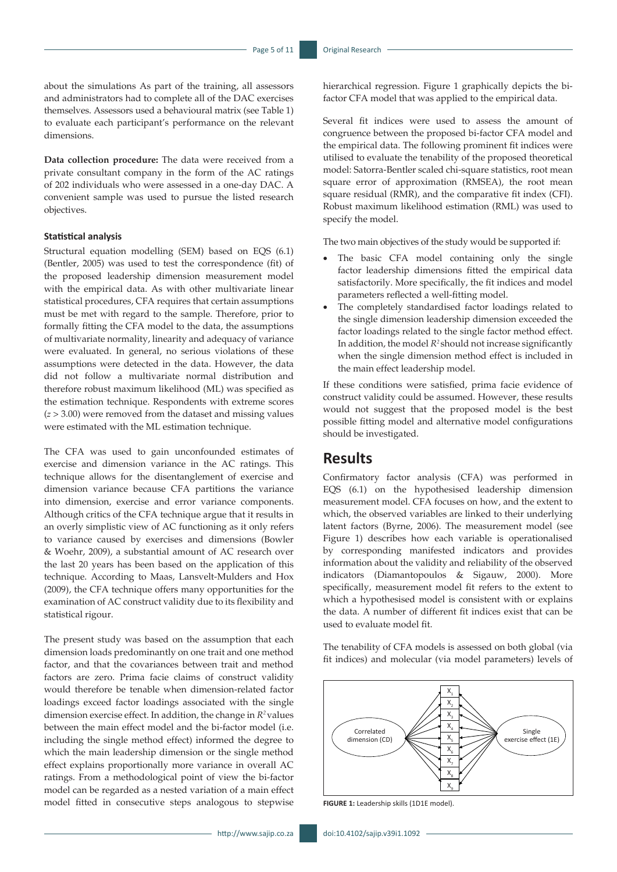about the simulations As part of the training, all assessors and administrators had to complete all of the DAC exercises themselves. Assessors used a behavioural matrix (see Table 1) to evaluate each participant's performance on the relevant dimensions.

**Data collection procedure:** The data were received from a private consultant company in the form of the AC ratings of 202 individuals who were assessed in a one-day DAC. A convenient sample was used to pursue the listed research objectives.

#### **Statistical analysis**

Structural equation modelling (SEM) based on EQS (6.1) (Bentler, 2005) was used to test the correspondence (fit) of the proposed leadership dimension measurement model with the empirical data. As with other multivariate linear statistical procedures, CFA requires that certain assumptions must be met with regard to the sample. Therefore, prior to formally fitting the CFA model to the data, the assumptions of multivariate normality, linearity and adequacy of variance were evaluated. In general, no serious violations of these assumptions were detected in the data. However, the data did not follow a multivariate normal distribution and therefore robust maximum likelihood (ML) was specified as the estimation technique. Respondents with extreme scores (*z* > 3.00) were removed from the dataset and missing values were estimated with the ML estimation technique.

The CFA was used to gain unconfounded estimates of exercise and dimension variance in the AC ratings. This technique allows for the disentanglement of exercise and dimension variance because CFA partitions the variance into dimension, exercise and error variance components. Although critics of the CFA technique argue that it results in an overly simplistic view of AC functioning as it only refers to variance caused by exercises and dimensions (Bowler & Woehr, 2009), a substantial amount of AC research over the last 20 years has been based on the application of this technique. According to Maas, Lansvelt-Mulders and Hox (2009), the CFA technique offers many opportunities for the examination of AC construct validity due to its flexibility and statistical rigour.

The present study was based on the assumption that each dimension loads predominantly on one trait and one method factor, and that the covariances between trait and method factors are zero. Prima facie claims of construct validity would therefore be tenable when dimension-related factor loadings exceed factor loadings associated with the single dimension exercise effect. In addition, the change in *R2*values between the main effect model and the bi-factor model (i.e. including the single method effect) informed the degree to which the main leadership dimension or the single method effect explains proportionally more variance in overall AC ratings. From a methodological point of view the bi-factor model can be regarded as a nested variation of a main effect model fitted in consecutive steps analogous to stepwise hierarchical regression. Figure 1 graphically depicts the bifactor CFA model that was applied to the empirical data.

Several fit indices were used to assess the amount of congruence between the proposed bi-factor CFA model and the empirical data. The following prominent fit indices were utilised to evaluate the tenability of the proposed theoretical model: Satorra-Bentler scaled chi-square statistics, root mean square error of approximation (RMSEA), the root mean square residual (RMR), and the comparative fit index (CFI). Robust maximum likelihood estimation (RML) was used to specify the model.

The two main objectives of the study would be supported if:

- The basic CFA model containing only the single factor leadership dimensions fitted the empirical data satisfactorily. More specifically, the fit indices and model parameters reflected a well-fitting model.
- The completely standardised factor loadings related to the single dimension leadership dimension exceeded the factor loadings related to the single factor method effect. In addition, the model *R2* should not increase significantly when the single dimension method effect is included in the main effect leadership model.

If these conditions were satisfied, prima facie evidence of construct validity could be assumed. However, these results would not suggest that the proposed model is the best possible fitting model and alternative model configurations should be investigated.

# **Results**

Confirmatory factor analysis (CFA) was performed in EQS (6.1) on the hypothesised leadership dimension measurement model. CFA focuses on how, and the extent to which, the observed variables are linked to their underlying latent factors (Byrne, 2006). The measurement model (see Figure 1) describes how each variable is operationalised by corresponding manifested indicators and provides information about the validity and reliability of the observed indicators (Diamantopoulos & Sigauw, 2000). More specifically, measurement model fit refers to the extent to which a hypothesised model is consistent with or explains the data. A number of different fit indices exist that can be used to evaluate model fit.

The tenability of CFA models is assessed on both global (via fit indices) and molecular (via model parameters) levels of



**FIGURE 1:** Leadership skills (1D1E model). **FIGURE 1:** Leadership skills (1D1E model).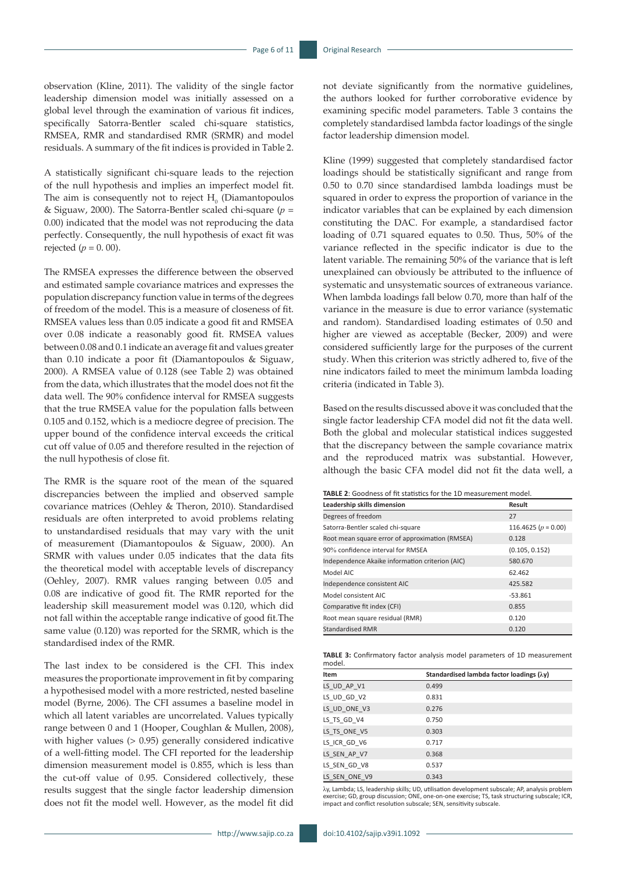observation (Kline, 2011). The validity of the single factor leadership dimension model was initially assessed on a global level through the examination of various fit indices, specifically Satorra-Bentler scaled chi-square statistics, RMSEA, RMR and standardised RMR (SRMR) and model residuals. A summary of the fit indices is provided in Table 2.

A statistically significant chi-square leads to the rejection of the null hypothesis and implies an imperfect model fit. The aim is consequently not to reject  $H_0$  (Diamantopoulos & Siguaw, 2000). The Satorra-Bentler scaled chi-square (*p* = 0.00) indicated that the model was not reproducing the data perfectly. Consequently, the null hypothesis of exact fit was rejected  $(p = 0.00)$ .

The RMSEA expresses the difference between the observed and estimated sample covariance matrices and expresses the population discrepancy function value in terms of the degrees of freedom of the model. This is a measure of closeness of fit. RMSEA values less than 0.05 indicate a good fit and RMSEA over 0.08 indicate a reasonably good fit. RMSEA values between 0.08 and 0.1 indicate an average fit and values greater than 0.10 indicate a poor fit (Diamantopoulos & Siguaw, 2000). A RMSEA value of 0.128 (see Table 2) was obtained from the data, which illustrates that the model does not fit the data well. The 90% confidence interval for RMSEA suggests that the true RMSEA value for the population falls between 0.105 and 0.152, which is a mediocre degree of precision. The upper bound of the confidence interval exceeds the critical cut off value of 0.05 and therefore resulted in the rejection of the null hypothesis of close fit.

The RMR is the square root of the mean of the squared discrepancies between the implied and observed sample covariance matrices (Oehley & Theron, 2010). Standardised residuals are often interpreted to avoid problems relating to unstandardised residuals that may vary with the unit of measurement (Diamantopoulos & Siguaw, 2000). An SRMR with values under 0.05 indicates that the data fits the theoretical model with acceptable levels of discrepancy (Oehley, 2007). RMR values ranging between 0.05 and 0.08 are indicative of good fit. The RMR reported for the leadership skill measurement model was 0.120, which did not fall within the acceptable range indicative of good fit.The same value (0.120) was reported for the SRMR, which is the standardised index of the RMR.

The last index to be considered is the CFI. This index measures the proportionate improvement in fit by comparing a hypothesised model with a more restricted, nested baseline model (Byrne, 2006). The CFI assumes a baseline model in which all latent variables are uncorrelated. Values typically range between 0 and 1 (Hooper, Coughlan & Mullen, 2008), with higher values (> 0.95) generally considered indicative of a well-fitting model. The CFI reported for the leadership dimension measurement model is 0.855, which is less than the cut-off value of 0.95. Considered collectively, these results suggest that the single factor leadership dimension does not fit the model well. However, as the model fit did

not deviate significantly from the normative guidelines, the authors looked for further corroborative evidence by examining specific model parameters. Table 3 contains the completely standardised lambda factor loadings of the single factor leadership dimension model.

Kline (1999) suggested that completely standardised factor loadings should be statistically significant and range from 0.50 to 0.70 since standardised lambda loadings must be squared in order to express the proportion of variance in the indicator variables that can be explained by each dimension constituting the DAC. For example, a standardised factor loading of 0.71 squared equates to 0.50. Thus, 50% of the variance reflected in the specific indicator is due to the latent variable. The remaining 50% of the variance that is left unexplained can obviously be attributed to the influence of systematic and unsystematic sources of extraneous variance. When lambda loadings fall below 0.70, more than half of the variance in the measure is due to error variance (systematic and random). Standardised loading estimates of 0.50 and higher are viewed as acceptable (Becker, 2009) and were considered sufficiently large for the purposes of the current study. When this criterion was strictly adhered to, five of the nine indicators failed to meet the minimum lambda loading criteria (indicated in Table 3).

Based on the results discussed above it was concluded that the single factor leadership CFA model did not fit the data well. Both the global and molecular statistical indices suggested that the discrepancy between the sample covariance matrix and the reproduced matrix was substantial. However, although the basic CFA model did not fit the data well, a

| <b>TABLE 2:</b> Goodness of fit statistics for the 1D measurement model. |  |
|--------------------------------------------------------------------------|--|
|--------------------------------------------------------------------------|--|

| Leadership skills dimension                     | Result                  |
|-------------------------------------------------|-------------------------|
| Degrees of freedom                              | 27                      |
| Satorra-Bentler scaled chi-square               | 116.4625 ( $p = 0.00$ ) |
| Root mean square error of approximation (RMSEA) | 0.128                   |
| 90% confidence interval for RMSEA               | (0.105, 0.152)          |
| Independence Akaike information criterion (AIC) | 580.670                 |
| Model AIC                                       | 62.462                  |
| Independence consistent AIC                     | 425.582                 |
| Model consistent AIC                            | $-53.861$               |
| Comparative fit index (CFI)                     | 0.855                   |
| Root mean square residual (RMR)                 | 0.120                   |
| <b>Standardised RMR</b>                         | 0.120                   |

|        |  |  |  | <b>TABLE 3:</b> Confirmatory factor analysis model parameters of 1D measurement |
|--------|--|--|--|---------------------------------------------------------------------------------|
| model. |  |  |  |                                                                                 |

| Item          | Standardised lambda factor loadings (λy) |
|---------------|------------------------------------------|
| LS_UD_AP_V1   | 0.499                                    |
| LS UD GD V2   | 0.831                                    |
| LS_UD_ONE_V3  | 0.276                                    |
| LS TS GD V4   | 0.750                                    |
| LS_TS_ONE_V5  | 0.303                                    |
| LS_ICR_GD_V6  | 0.717                                    |
| LS SEN AP V7  | 0.368                                    |
| LS SEN GD V8  | 0.537                                    |
| LS SEN ONE V9 | 0.343                                    |

λy, Lambda; LS, leadership skills; UD, utilisation development subscale; AP, analysis problem exercise; GD, group discussion; ONE, one-on-one exercise; TS, task structuring subscale; ICR, impact and conflict resolution subscale; SEN, sensitivity subscale.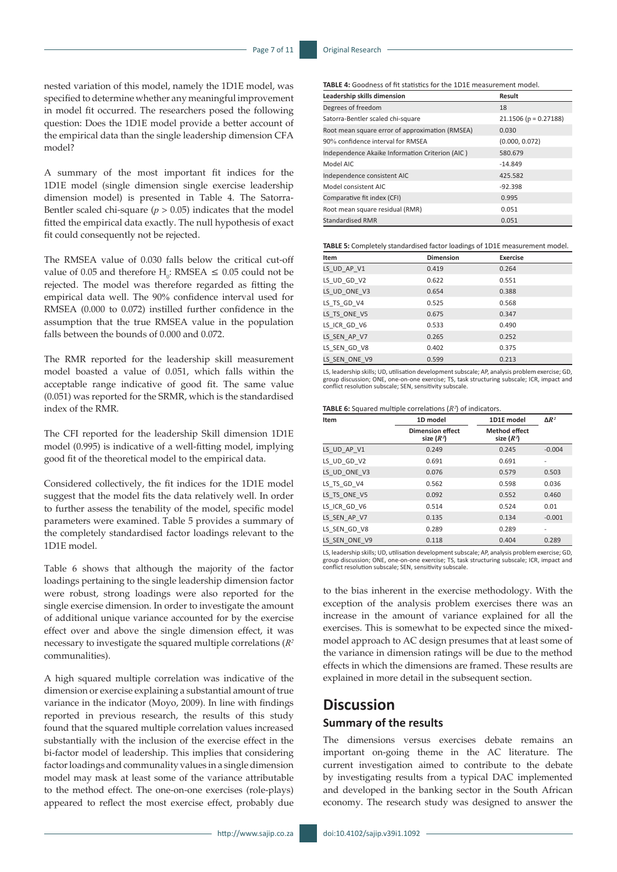nested variation of this model, namely the 1D1E model, was specified to determine whether any meaningful improvement in model fit occurred. The researchers posed the following question: Does the 1D1E model provide a better account of the empirical data than the single leadership dimension CFA model?

A summary of the most important fit indices for the 1D1E model (single dimension single exercise leadership dimension model) is presented in Table 4. The Satorra-Bentler scaled chi-square  $(p > 0.05)$  indicates that the model fitted the empirical data exactly. The null hypothesis of exact fit could consequently not be rejected.

The RMSEA value of 0.030 falls below the critical cut-off value of 0.05 and therefore  $H_0$ : RMSEA  $\leq$  0.05 could not be rejected. The model was therefore regarded as fitting the empirical data well. The 90% confidence interval used for RMSEA (0.000 to 0.072) instilled further confidence in the assumption that the true RMSEA value in the population falls between the bounds of 0.000 and 0.072.

The RMR reported for the leadership skill measurement model boasted a value of 0.051, which falls within the acceptable range indicative of good fit. The same value (0.051) was reported for the SRMR, which is the standardised index of the RMR.

The CFI reported for the leadership Skill dimension 1D1E model (0.995) is indicative of a well-fitting model, implying good fit of the theoretical model to the empirical data.

Considered collectively, the fit indices for the 1D1E model suggest that the model fits the data relatively well. In order to further assess the tenability of the model, specific model parameters were examined. Table 5 provides a summary of the completely standardised factor loadings relevant to the 1D1E model.

Table 6 shows that although the majority of the factor loadings pertaining to the single leadership dimension factor were robust, strong loadings were also reported for the single exercise dimension. In order to investigate the amount of additional unique variance accounted for by the exercise effect over and above the single dimension effect, it was necessary to investigate the squared multiple correlations (*R2* communalities).

A high squared multiple correlation was indicative of the dimension or exercise explaining a substantial amount of true variance in the indicator (Moyo, 2009). In line with findings reported in previous research, the results of this study found that the squared multiple correlation values increased substantially with the inclusion of the exercise effect in the bi-factor model of leadership. This implies that considering factor loadings and communality values in a single dimension model may mask at least some of the variance attributable to the method effect. The one-on-one exercises (role-plays) appeared to reflect the most exercise effect, probably due

**TABLE 4:** Goodness of fit statistics for the 1D1E measurement model.

| Leadership skills dimension                     | Result                  |
|-------------------------------------------------|-------------------------|
| Degrees of freedom                              | 18                      |
| Satorra-Bentler scaled chi-square               | $21.1506$ (p = 0.27188) |
| Root mean square error of approximation (RMSEA) | 0.030                   |
| 90% confidence interval for RMSEA               | (0.000, 0.072)          |
| Independence Akaike Information Criterion (AIC) | 580.679                 |
| Model AIC                                       | $-14.849$               |
| Independence consistent AIC                     | 425.582                 |
| Model consistent AIC                            | $-92.398$               |
| Comparative fit index (CFI)                     | 0.995                   |
| Root mean square residual (RMR)                 | 0.051                   |
| <b>Standardised RMR</b>                         | 0.051                   |

**TABLE 5:** Completely standardised factor loadings of 1D1E measurement model.

| Item          | <b>Dimension</b> | <b>Exercise</b> |
|---------------|------------------|-----------------|
| LS UD AP V1   | 0.419            | 0.264           |
| LS UD GD V2   | 0.622            | 0.551           |
| LS UD ONE V3  | 0.654            | 0.388           |
| LS TS GD V4   | 0.525            | 0.568           |
| LS TS ONE V5  | 0.675            | 0.347           |
| LS ICR GD V6  | 0.533            | 0.490           |
| LS SEN AP V7  | 0.265            | 0.252           |
| LS_SEN_GD_V8  | 0.402            | 0.375           |
| LS SEN ONE V9 | 0.599            | 0.213           |

LS, leadership skills; UD, utilisation development subscale; AP, analysis problem exercise; GD, group discussion; ONE, one-on-one exercise; TS, task structuring subscale; ICR, impact and conflict resolution subscale; SEN, sensitivity subscale.

**TABLE 6:** Squared multiple correlations (*R²*) of indicators.

| Item          | 1D model                                | 1D1E model                           | $\Delta R^2$   |  |
|---------------|-----------------------------------------|--------------------------------------|----------------|--|
|               | <b>Dimension effect</b><br>size $(R^2)$ | <b>Method effect</b><br>size $(R^2)$ |                |  |
| LS UD AP V1   | 0.249                                   | 0.245                                | $-0.004$       |  |
| LS UD GD V2   | 0.691                                   | 0.691                                |                |  |
| LS UD ONE V3  | 0.076                                   | 0.579                                | 0.503          |  |
| LS TS GD V4   | 0.562                                   | 0.598                                | 0.036          |  |
| LS TS ONE V5  | 0.092                                   | 0.552                                | 0.460          |  |
| LS ICR_GD_V6  | 0.514                                   | 0.524                                | 0.01           |  |
| LS SEN AP V7  | 0.135                                   | 0.134                                | $-0.001$       |  |
| LS SEN GD V8  | 0.289                                   | 0.289                                | $\overline{a}$ |  |
| LS SEN ONE V9 | 0.118                                   | 0.404                                | 0.289          |  |

LS, leadership skills; UD, utilisation development subscale; AP, analysis problem exercise; GD, group discussion; ONE, one-on-one exercise; TS, task structuring subscale; ICR, impact and conflict resolution subscale; SEN, sensitivity subscale.

to the bias inherent in the exercise methodology. With the exception of the analysis problem exercises there was an increase in the amount of variance explained for all the exercises. This is somewhat to be expected since the mixedmodel approach to AC design presumes that at least some of the variance in dimension ratings will be due to the method effects in which the dimensions are framed. These results are explained in more detail in the subsequent section.

# **Discussion Summary of the results**

The dimensions versus exercises debate remains an important on-going theme in the AC literature. The current investigation aimed to contribute to the debate by investigating results from a typical DAC implemented and developed in the banking sector in the South African economy. The research study was designed to answer the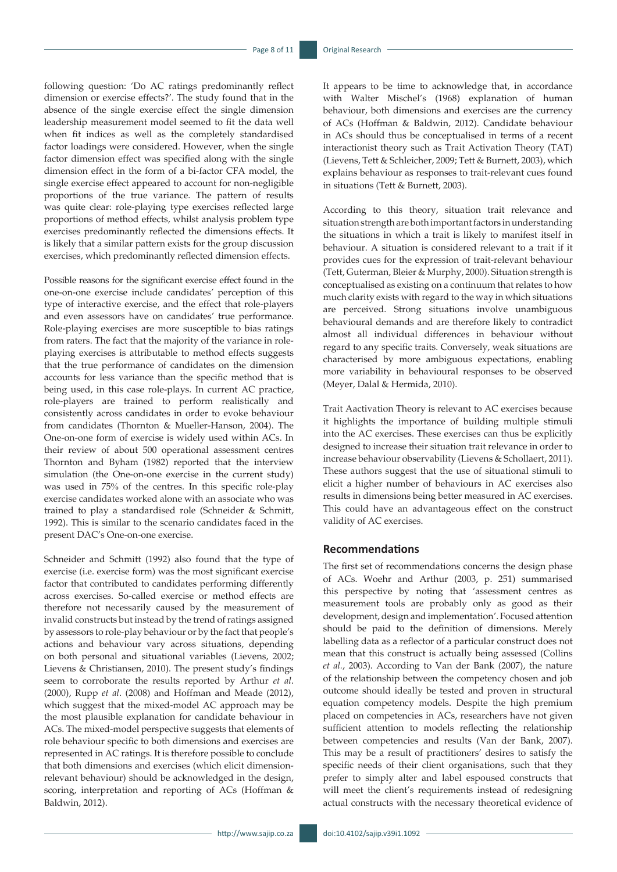following question: 'Do AC ratings predominantly reflect dimension or exercise effects?'. The study found that in the absence of the single exercise effect the single dimension leadership measurement model seemed to fit the data well when fit indices as well as the completely standardised factor loadings were considered. However, when the single factor dimension effect was specified along with the single dimension effect in the form of a bi-factor CFA model, the single exercise effect appeared to account for non-negligible proportions of the true variance. The pattern of results was quite clear: role-playing type exercises reflected large proportions of method effects, whilst analysis problem type exercises predominantly reflected the dimensions effects. It is likely that a similar pattern exists for the group discussion exercises, which predominantly reflected dimension effects.

Possible reasons for the significant exercise effect found in the one-on-one exercise include candidates' perception of this type of interactive exercise, and the effect that role-players and even assessors have on candidates' true performance. Role-playing exercises are more susceptible to bias ratings from raters. The fact that the majority of the variance in roleplaying exercises is attributable to method effects suggests that the true performance of candidates on the dimension accounts for less variance than the specific method that is being used, in this case role-plays. In current AC practice, role-players are trained to perform realistically and consistently across candidates in order to evoke behaviour from candidates (Thornton & Mueller-Hanson, 2004). The One-on-one form of exercise is widely used within ACs. In their review of about 500 operational assessment centres Thornton and Byham (1982) reported that the interview simulation (the One-on-one exercise in the current study) was used in 75% of the centres. In this specific role-play exercise candidates worked alone with an associate who was trained to play a standardised role (Schneider & Schmitt, 1992). This is similar to the scenario candidates faced in the present DAC's One-on-one exercise.

Schneider and Schmitt (1992) also found that the type of exercise (i.e. exercise form) was the most significant exercise factor that contributed to candidates performing differently across exercises. So-called exercise or method effects are therefore not necessarily caused by the measurement of invalid constructs but instead by the trend of ratings assigned by assessors to role-play behaviour or by the fact that people's actions and behaviour vary across situations, depending on both personal and situational variables (Lievens, 2002; Lievens & Christiansen, 2010). The present study's findings seem to corroborate the results reported by Arthur *et al*. (2000), Rupp *et al*. (2008) and Hoffman and Meade (2012), which suggest that the mixed-model AC approach may be the most plausible explanation for candidate behaviour in ACs. The mixed-model perspective suggests that elements of role behaviour specific to both dimensions and exercises are represented in AC ratings. It is therefore possible to conclude that both dimensions and exercises (which elicit dimensionrelevant behaviour) should be acknowledged in the design, scoring, interpretation and reporting of ACs (Hoffman & Baldwin, 2012).

It appears to be time to acknowledge that, in accordance with Walter Mischel's (1968) explanation of human behaviour, both dimensions and exercises are the currency of ACs (Hoffman & Baldwin, 2012). Candidate behaviour in ACs should thus be conceptualised in terms of a recent interactionist theory such as Trait Activation Theory (TAT) (Lievens, Tett & Schleicher, 2009; Tett & Burnett, 2003), which explains behaviour as responses to trait-relevant cues found in situations (Tett & Burnett, 2003).

According to this theory, situation trait relevance and situation strength are both important factors in understanding the situations in which a trait is likely to manifest itself in behaviour. A situation is considered relevant to a trait if it provides cues for the expression of trait-relevant behaviour (Tett, Guterman, Bleier & Murphy, 2000). Situation strength is conceptualised as existing on a continuum that relates to how much clarity exists with regard to the way in which situations are perceived. Strong situations involve unambiguous behavioural demands and are therefore likely to contradict almost all individual differences in behaviour without regard to any specific traits. Conversely, weak situations are characterised by more ambiguous expectations, enabling more variability in behavioural responses to be observed (Meyer, Dalal & Hermida, 2010).

Trait Aactivation Theory is relevant to AC exercises because it highlights the importance of building multiple stimuli into the AC exercises. These exercises can thus be explicitly designed to increase their situation trait relevance in order to increase behaviour observability (Lievens & Schollaert, 2011). These authors suggest that the use of situational stimuli to elicit a higher number of behaviours in AC exercises also results in dimensions being better measured in AC exercises. This could have an advantageous effect on the construct validity of AC exercises.

#### **Recommendations**

The first set of recommendations concerns the design phase of ACs. Woehr and Arthur (2003, p. 251) summarised this perspective by noting that 'assessment centres as measurement tools are probably only as good as their development, design and implementation'. Focused attention should be paid to the definition of dimensions. Merely labelling data as a reflector of a particular construct does not mean that this construct is actually being assessed (Collins *et al.*, 2003). According to Van der Bank (2007), the nature of the relationship between the competency chosen and job outcome should ideally be tested and proven in structural equation competency models. Despite the high premium placed on competencies in ACs, researchers have not given sufficient attention to models reflecting the relationship between competencies and results (Van der Bank, 2007). This may be a result of practitioners' desires to satisfy the specific needs of their client organisations, such that they prefer to simply alter and label espoused constructs that will meet the client's requirements instead of redesigning actual constructs with the necessary theoretical evidence of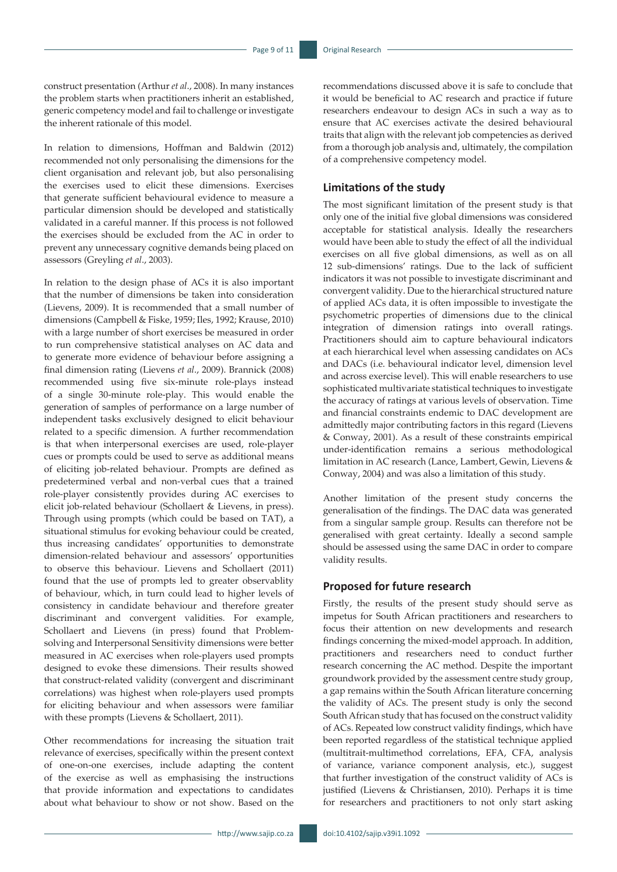construct presentation (Arthur *et al*., 2008). In many instances the problem starts when practitioners inherit an established, generic competency model and fail to challenge or investigate the inherent rationale of this model.

In relation to dimensions, Hoffman and Baldwin (2012) recommended not only personalising the dimensions for the client organisation and relevant job, but also personalising the exercises used to elicit these dimensions. Exercises that generate sufficient behavioural evidence to measure a particular dimension should be developed and statistically validated in a careful manner. If this process is not followed the exercises should be excluded from the AC in order to prevent any unnecessary cognitive demands being placed on assessors (Greyling *et al*., 2003).

In relation to the design phase of ACs it is also important that the number of dimensions be taken into consideration (Lievens, 2009). It is recommended that a small number of dimensions (Campbell & Fiske, 1959; Iles, 1992; Krause, 2010) with a large number of short exercises be measured in order to run comprehensive statistical analyses on AC data and to generate more evidence of behaviour before assigning a final dimension rating (Lievens *et al*., 2009). Brannick (2008) recommended using five six-minute role-plays instead of a single 30-minute role-play. This would enable the generation of samples of performance on a large number of independent tasks exclusively designed to elicit behaviour related to a specific dimension. A further recommendation is that when interpersonal exercises are used, role-player cues or prompts could be used to serve as additional means of eliciting job-related behaviour. Prompts are defined as predetermined verbal and non-verbal cues that a trained role-player consistently provides during AC exercises to elicit job-related behaviour (Schollaert & Lievens, in press). Through using prompts (which could be based on TAT), a situational stimulus for evoking behaviour could be created, thus increasing candidates' opportunities to demonstrate dimension-related behaviour and assessors' opportunities to observe this behaviour. Lievens and Schollaert (2011) found that the use of prompts led to greater observablity of behaviour, which, in turn could lead to higher levels of consistency in candidate behaviour and therefore greater discriminant and convergent validities. For example, Schollaert and Lievens (in press) found that Problemsolving and Interpersonal Sensitivity dimensions were better measured in AC exercises when role-players used prompts designed to evoke these dimensions. Their results showed that construct-related validity (convergent and discriminant correlations) was highest when role-players used prompts for eliciting behaviour and when assessors were familiar with these prompts (Lievens & Schollaert, 2011).

Other recommendations for increasing the situation trait relevance of exercises, specifically within the present context of one-on-one exercises, include adapting the content of the exercise as well as emphasising the instructions that provide information and expectations to candidates about what behaviour to show or not show. Based on the

recommendations discussed above it is safe to conclude that it would be beneficial to AC research and practice if future researchers endeavour to design ACs in such a way as to ensure that AC exercises activate the desired behavioural traits that align with the relevant job competencies as derived from a thorough job analysis and, ultimately, the compilation of a comprehensive competency model.

### **Limitations of the study**

The most significant limitation of the present study is that only one of the initial five global dimensions was considered acceptable for statistical analysis. Ideally the researchers would have been able to study the effect of all the individual exercises on all five global dimensions, as well as on all 12 sub-dimensions' ratings. Due to the lack of sufficient indicators it was not possible to investigate discriminant and convergent validity. Due to the hierarchical structured nature of applied ACs data, it is often impossible to investigate the psychometric properties of dimensions due to the clinical integration of dimension ratings into overall ratings. Practitioners should aim to capture behavioural indicators at each hierarchical level when assessing candidates on ACs and DACs (i.e. behavioural indicator level, dimension level and across exercise level). This will enable researchers to use sophisticated multivariate statistical techniques to investigate the accuracy of ratings at various levels of observation. Time and financial constraints endemic to DAC development are admittedly major contributing factors in this regard (Lievens & Conway, 2001). As a result of these constraints empirical under-identification remains a serious methodological limitation in AC research (Lance, Lambert, Gewin, Lievens & Conway, 2004) and was also a limitation of this study.

Another limitation of the present study concerns the generalisation of the findings. The DAC data was generated from a singular sample group. Results can therefore not be generalised with great certainty. Ideally a second sample should be assessed using the same DAC in order to compare validity results.

#### **Proposed for future research**

Firstly, the results of the present study should serve as impetus for South African practitioners and researchers to focus their attention on new developments and research findings concerning the mixed-model approach. In addition, practitioners and researchers need to conduct further research concerning the AC method. Despite the important groundwork provided by the assessment centre study group, a gap remains within the South African literature concerning the validity of ACs. The present study is only the second South African study that has focused on the construct validity of ACs. Repeated low construct validity findings, which have been reported regardless of the statistical technique applied (multitrait-multimethod correlations, EFA, CFA, analysis of variance, variance component analysis, etc.), suggest that further investigation of the construct validity of ACs is justified (Lievens & Christiansen, 2010). Perhaps it is time for researchers and practitioners to not only start asking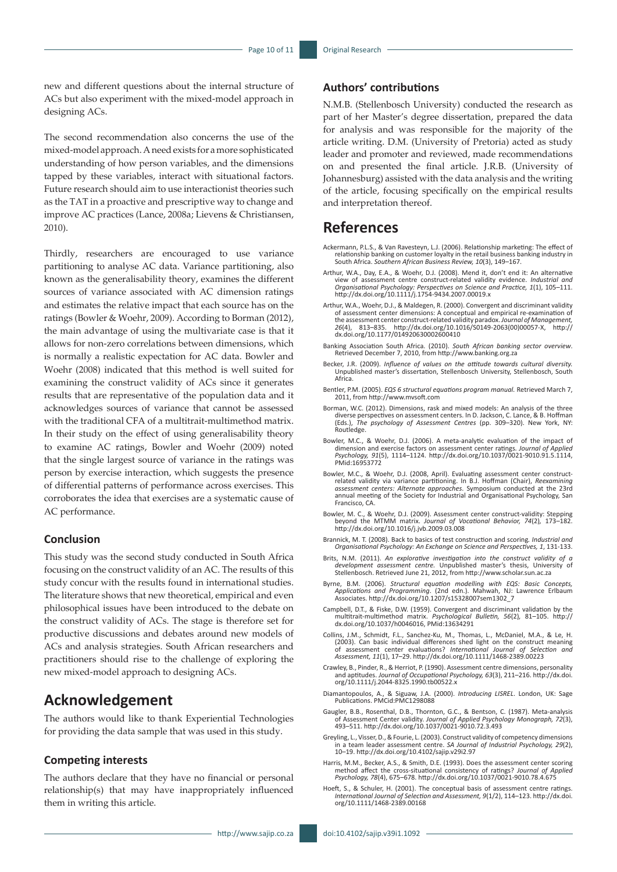new and different questions about the internal structure of ACs but also experiment with the mixed-model approach in designing ACs.

The second recommendation also concerns the use of the mixed-model approach. A need exists for a more sophisticated understanding of how person variables, and the dimensions tapped by these variables, interact with situational factors. Future research should aim to use interactionist theories such as the TAT in a proactive and prescriptive way to change and improve AC practices (Lance, 2008a; Lievens & Christiansen, 2010).

Thirdly, researchers are encouraged to use variance partitioning to analyse AC data. Variance partitioning, also known as the generalisability theory, examines the different sources of variance associated with AC dimension ratings and estimates the relative impact that each source has on the ratings (Bowler & Woehr, 2009). According to Borman (2012), the main advantage of using the multivariate case is that it allows for non-zero correlations between dimensions, which is normally a realistic expectation for AC data. Bowler and Woehr (2008) indicated that this method is well suited for examining the construct validity of ACs since it generates results that are representative of the population data and it acknowledges sources of variance that cannot be assessed with the traditional CFA of a multitrait-multimethod matrix. In their study on the effect of using generalisability theory to examine AC ratings, Bowler and Woehr (2009) noted that the single largest source of variance in the ratings was person by exercise interaction, which suggests the presence of differential patterns of performance across exercises. This corroborates the idea that exercises are a systematic cause of AC performance.

#### **Conclusion**

This study was the second study conducted in South Africa focusing on the construct validity of an AC. The results of this study concur with the results found in international studies. The literature shows that new theoretical, empirical and even philosophical issues have been introduced to the debate on the construct validity of ACs. The stage is therefore set for productive discussions and debates around new models of ACs and analysis strategies. South African researchers and practitioners should rise to the challenge of exploring the new mixed-model approach to designing ACs.

# **Acknowledgement**

The authors would like to thank Experiential Technologies for providing the data sample that was used in this study.

#### **Competing interests**

The authors declare that they have no financial or personal relationship(s) that may have inappropriately influenced them in writing this article.

### **Authors' contributions**

N.M.B. (Stellenbosch University) conducted the research as part of her Master's degree dissertation, prepared the data for analysis and was responsible for the majority of the article writing. D.M. (University of Pretoria) acted as study leader and promoter and reviewed, made recommendations on and presented the final article. J.R.B. (University of Johannesburg) assisted with the data analysis and the writing of the article, focusing specifically on the empirical results and interpretation thereof.

# **References**

- Ackermann, P.L.S., & Van Ravesteyn, L.J. (2006). Relationship marketing: The effect of relationship banking on customer loyalty in the retail business banking industry in South Africa. *Southern African Business Review, 10*(3), 149–167.
- Arthur, W.A., Day, E.A., & Woehr, D.J. (2008). Mend it, don't end it: An alternative view of assessment centre construct-related validity evidence. *Industrial and*<br>*Organisational Psychology: Perspectives on Science and Practice, 1*(1), 105–111.<br><http://dx.doi.org/10.1111/j.1754-9434.2007.00019.x>
- Arthur, W.A., Woehr, D.J., & Maldegen, R. (2000). Convergent and discriminant validity of assessment center dimensions: A conceptual and empirical re-examination of the assessment center construct-related validity paradox. *Journal of Management, 26*(4), 813–835. [http://dx.doi.org/10.1016/S0149-2063\(00\)00057-X](http://dx.doi.org/10.1016/S0149-2063(00)00057-X), [http://](http://dx.doi.org/10.1177/014920630002600410) [dx.doi.org/10.1177/014920630002600410](http://dx.doi.org/10.1177/014920630002600410)
- Banking Association South Africa. (2010). *South African banking sector overview*. Retrieved December 7, 2010, from <http://www.banking.org.za>
- Becker, J.R. (2009). *Influence of values on the attitude towards cultural diversity.*  Unpublished master's dissertation, Stellenbosch University, Stellenbosch, South Africa.
- Bentler, P.M. (2005). *EQS 6 structural equations program manual.* Retrieved March 7, 2011, from<http://www.mvsoft.com>
- Borman, W.C. (2012). Dimensions, rask and mixed models: An analysis of the three<br>diverse perspectives on assessment centers. In D. Jackson, C. Lance, & B. Hoffman<br>(Eds.), The psychology of Assessment Centres (pp. 309–320). Routledge.
- Bowler, M.C., & Woehr, D.J. (2006). A meta-analytic evaluation of the impact of dimension and exercise factors on assessment center ratings*. Journal of Applied Psychology, 91*(5), 1114–1124. <http://dx.doi.org/10.1037/0021-9010.91.5.1114>, PMid:16953772
- Bowler, M.C., & Woehr, D.J. (2008, April). Evaluating assessment center constructrelated validity via variance partitioning. In B.J. Hoffman (Chair), *Reexamining assessment centers: Alternate approaches*. Symposium conducted at the 23rd annual meeting of the Society for Industrial and Organisational Psychology, San Francisco, CA.
- Bowler, M. C., & Woehr, D.J. (2009). Assessment center construct-validity: Stepping beyond the MTMM matrix. *Journal of Vocational Behavior, 74*(2)*,* 173–182. <http://dx.doi.org/10.1016/j.jvb.2009.03.008>
- Brannick, M. T. (2008). Back to basics of test construction and scoring*. Industrial and Organisational Psychology: An Exchange on Science and Perspectives, 1*, 131-133.
- Brits, N.M. (2011). *An explorative investigation into the construct validity of a development assessment centre.* Unpublished master's thesis, University of Stellenbosch. Retrieved June 21, 2012, from http://www.scholar.sun.ac.za
- Byrne, B.M. (2006). *Structural equation modelling with EQS: Basic Concepts, Applications and Programming*. (2nd edn.). Mahwah, NJ: Lawrence Erlbaum Associates. [http://dx.doi.org/10.1207/s15328007sem1302\\_7](http://dx.doi.org/10.1207/s15328007sem1302_7)
- Campbell, D.T., & Fiske, D.W. (1959). Convergent and discriminant validation by the multitrait-multimethod matrix. *Psychological Bulletin, 56*(2)*,* 81–105. [http://](http://dx.doi.org/10.1037/h0046016) [dx.doi.org/10.1037/h0046016,](http://dx.doi.org/10.1037/h0046016) PMid:13634291
- Collins, J.M., Schmidt, F.L., Sanchez-Ku, M., Thomas, L., McDaniel, M.A., & Le, H.<br>(2003). Can basic individual differences shed light on the construct meaning<br>of assessment center evaluations? International Journal of Sel *Assessment, 11*(1), 17–29. <http://dx.doi.org/10.1111/1468-2389.00223>
- Crawley, B., Pinder, R., & Herriot, P. (1990). Assessment centre dimensions, personality and aptitudes. *Journal of Occupational Psychology, 63*(3), 211–216. [http://dx.doi.](http://dx.doi.org/10.1111/j.2044-8325.1990.tb00522.x) [org/10.1111/j.2044-8325.1990.tb00522.x](http://dx.doi.org/10.1111/j.2044-8325.1990.tb00522.x)
- Diamantopoulos, A., & Siguaw, J.A. (2000). *Introducing LISREL*. London, UK: Sage Publications. PMCid:PMC1298088
- Gaugler, B.B., Rosenthal, D.B., Thornton, G.C., & Bentson, C. (1987). Meta-analysis of Assessment Center validity. *Journal of Applied Psychology Monograph, 72*(3), 493–511.<http://dx.doi.org/10.1037/0021-9010.72.3.493>
- Greyling, L., Visser, D., & Fourie, L. (2003). Construct validity of competency dimensions in a team leader assessment centre. *SA Journal of Industrial Psychology, 29*(2), 10–19.<http://dx.doi.org/10.4102/sajip.v29i2.97>
- Harris, M.M., Becker, A.S., & Smith, D.E. (1993). Does the assessment center scoring method affect the cross-situational consistency of ratings? *Journal of Applied Psychology, 78*(4), 675–678. <http://dx.doi.org/10.1037/0021-9010.78.4.675>
- Hoeft, S., & Schuler, H. (2001). The conceptual basis of assessment centre ratings. *International Journal of Selection and Assessment, 9*(1/2), 114–123. [http://dx.doi.](http://dx.doi.org/10.1111/1468-2389.00168) [org/10.1111/1468-2389.00168](http://dx.doi.org/10.1111/1468-2389.00168)